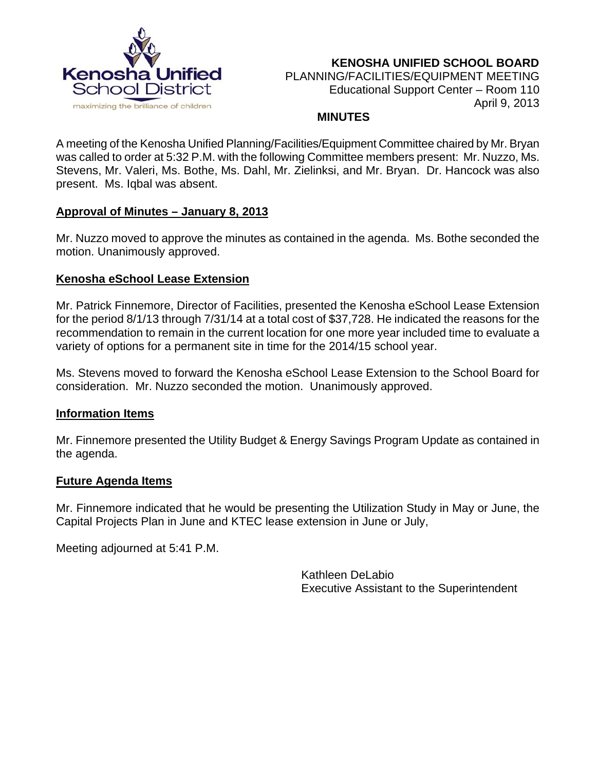

 **KENOSHA UNIFIED SCHOOL BOARD** PLANNING/FACILITIES/EQUIPMENT MEETING Educational Support Center – Room 110 April 9, 2013

#### **MINUTES**

A meeting of the Kenosha Unified Planning/Facilities/Equipment Committee chaired by Mr. Bryan was called to order at 5:32 P.M. with the following Committee members present: Mr. Nuzzo, Ms. Stevens, Mr. Valeri, Ms. Bothe, Ms. Dahl, Mr. Zielinksi, and Mr. Bryan. Dr. Hancock was also present. Ms. Iqbal was absent.

# **Approval of Minutes – January 8, 2013**

Mr. Nuzzo moved to approve the minutes as contained in the agenda. Ms. Bothe seconded the motion. Unanimously approved.

# **Kenosha eSchool Lease Extension**

Mr. Patrick Finnemore, Director of Facilities, presented the Kenosha eSchool Lease Extension for the period 8/1/13 through 7/31/14 at a total cost of \$37,728. He indicated the reasons for the recommendation to remain in the current location for one more year included time to evaluate a variety of options for a permanent site in time for the 2014/15 school year.

Ms. Stevens moved to forward the Kenosha eSchool Lease Extension to the School Board for consideration. Mr. Nuzzo seconded the motion. Unanimously approved.

### **Information Items**

Mr. Finnemore presented the Utility Budget & Energy Savings Program Update as contained in the agenda.

### **Future Agenda Items**

Mr. Finnemore indicated that he would be presenting the Utilization Study in May or June, the Capital Projects Plan in June and KTEC lease extension in June or July,

Meeting adjourned at 5:41 P.M.

Kathleen DeLabio Executive Assistant to the Superintendent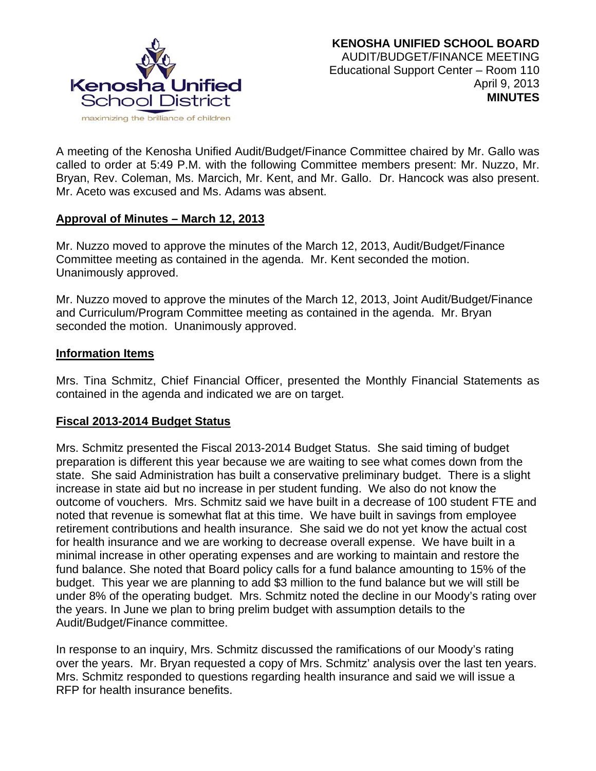

A meeting of the Kenosha Unified Audit/Budget/Finance Committee chaired by Mr. Gallo was called to order at 5:49 P.M. with the following Committee members present: Mr. Nuzzo, Mr. Bryan, Rev. Coleman, Ms. Marcich, Mr. Kent, and Mr. Gallo. Dr. Hancock was also present. Mr. Aceto was excused and Ms. Adams was absent.

### **Approval of Minutes – March 12, 2013**

Mr. Nuzzo moved to approve the minutes of the March 12, 2013, Audit/Budget/Finance Committee meeting as contained in the agenda. Mr. Kent seconded the motion. Unanimously approved.

Mr. Nuzzo moved to approve the minutes of the March 12, 2013, Joint Audit/Budget/Finance and Curriculum/Program Committee meeting as contained in the agenda. Mr. Bryan seconded the motion. Unanimously approved.

### **Information Items**

Mrs. Tina Schmitz, Chief Financial Officer, presented the Monthly Financial Statements as contained in the agenda and indicated we are on target.

# **Fiscal 2013-2014 Budget Status**

Mrs. Schmitz presented the Fiscal 2013-2014 Budget Status. She said timing of budget preparation is different this year because we are waiting to see what comes down from the state. She said Administration has built a conservative preliminary budget. There is a slight increase in state aid but no increase in per student funding. We also do not know the outcome of vouchers. Mrs. Schmitz said we have built in a decrease of 100 student FTE and noted that revenue is somewhat flat at this time. We have built in savings from employee retirement contributions and health insurance. She said we do not yet know the actual cost for health insurance and we are working to decrease overall expense. We have built in a minimal increase in other operating expenses and are working to maintain and restore the fund balance. She noted that Board policy calls for a fund balance amounting to 15% of the budget. This year we are planning to add \$3 million to the fund balance but we will still be under 8% of the operating budget. Mrs. Schmitz noted the decline in our Moody's rating over the years. In June we plan to bring prelim budget with assumption details to the Audit/Budget/Finance committee.

In response to an inquiry, Mrs. Schmitz discussed the ramifications of our Moody's rating over the years. Mr. Bryan requested a copy of Mrs. Schmitz' analysis over the last ten years. Mrs. Schmitz responded to questions regarding health insurance and said we will issue a RFP for health insurance benefits.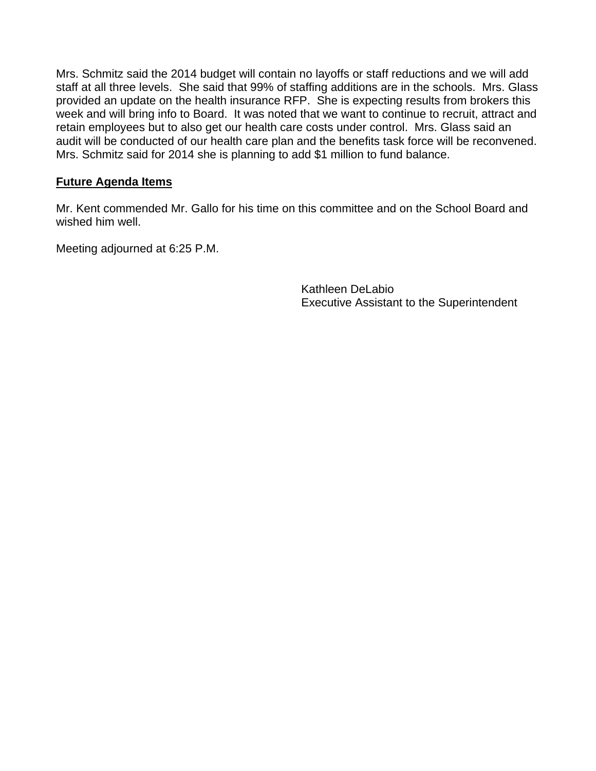Mrs. Schmitz said the 2014 budget will contain no layoffs or staff reductions and we will add staff at all three levels. She said that 99% of staffing additions are in the schools. Mrs. Glass provided an update on the health insurance RFP. She is expecting results from brokers this week and will bring info to Board. It was noted that we want to continue to recruit, attract and retain employees but to also get our health care costs under control. Mrs. Glass said an audit will be conducted of our health care plan and the benefits task force will be reconvened. Mrs. Schmitz said for 2014 she is planning to add \$1 million to fund balance.

# **Future Agenda Items**

Mr. Kent commended Mr. Gallo for his time on this committee and on the School Board and wished him well.

Meeting adjourned at 6:25 P.M.

Kathleen DeLabio Executive Assistant to the Superintendent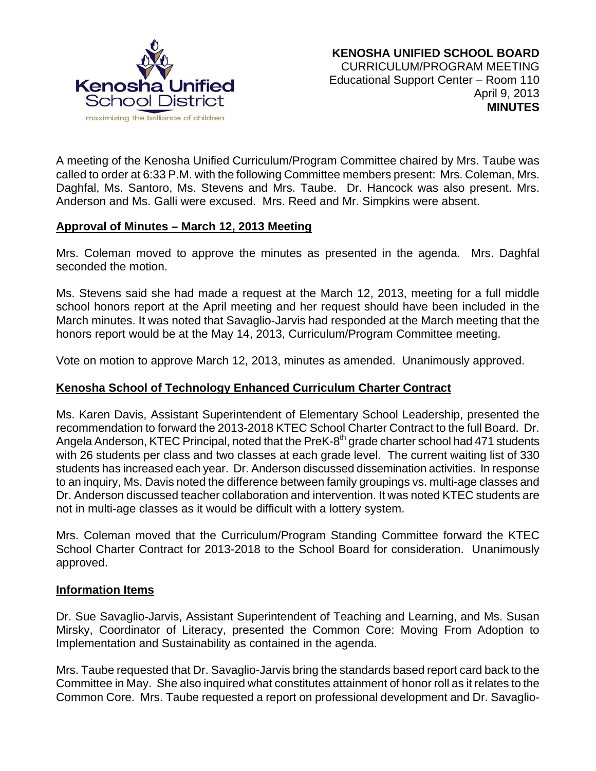

A meeting of the Kenosha Unified Curriculum/Program Committee chaired by Mrs. Taube was called to order at 6:33 P.M. with the following Committee members present: Mrs. Coleman, Mrs. Daghfal, Ms. Santoro, Ms. Stevens and Mrs. Taube. Dr. Hancock was also present. Mrs. Anderson and Ms. Galli were excused. Mrs. Reed and Mr. Simpkins were absent.

### **Approval of Minutes – March 12, 2013 Meeting**

Mrs. Coleman moved to approve the minutes as presented in the agenda. Mrs. Daghfal seconded the motion.

Ms. Stevens said she had made a request at the March 12, 2013, meeting for a full middle school honors report at the April meeting and her request should have been included in the March minutes. It was noted that Savaglio-Jarvis had responded at the March meeting that the honors report would be at the May 14, 2013, Curriculum/Program Committee meeting.

Vote on motion to approve March 12, 2013, minutes as amended. Unanimously approved.

### **Kenosha School of Technology Enhanced Curriculum Charter Contract**

Ms. Karen Davis, Assistant Superintendent of Elementary School Leadership, presented the recommendation to forward the 2013-2018 KTEC School Charter Contract to the full Board. Dr. Angela Anderson, KTEC Principal, noted that the PreK-8<sup>th</sup> grade charter school had 471 students with 26 students per class and two classes at each grade level. The current waiting list of 330 students has increased each year. Dr. Anderson discussed dissemination activities. In response to an inquiry, Ms. Davis noted the difference between family groupings vs. multi-age classes and Dr. Anderson discussed teacher collaboration and intervention. It was noted KTEC students are not in multi-age classes as it would be difficult with a lottery system.

Mrs. Coleman moved that the Curriculum/Program Standing Committee forward the KTEC School Charter Contract for 2013-2018 to the School Board for consideration. Unanimously approved.

#### **Information Items**

Dr. Sue Savaglio-Jarvis, Assistant Superintendent of Teaching and Learning, and Ms. Susan Mirsky, Coordinator of Literacy, presented the Common Core: Moving From Adoption to Implementation and Sustainability as contained in the agenda.

Mrs. Taube requested that Dr. Savaglio-Jarvis bring the standards based report card back to the Committee in May. She also inquired what constitutes attainment of honor roll as it relates to the Common Core. Mrs. Taube requested a report on professional development and Dr. Savaglio